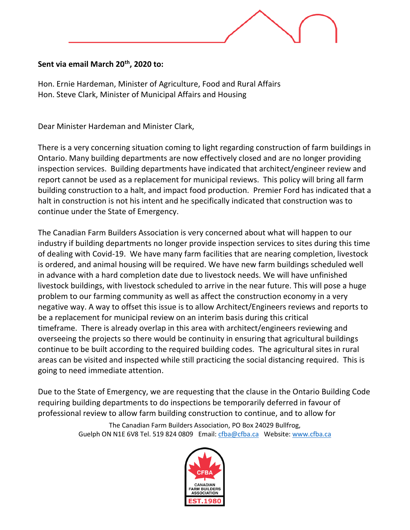## **Sent via email March 20th, 2020 to:**

Hon. Ernie Hardeman, Minister of Agriculture, Food and Rural Affairs Hon. Steve Clark, Minister of Municipal Affairs and Housing

Dear Minister Hardeman and Minister Clark,

There is a very concerning situation coming to light regarding construction of farm buildings in Ontario. Many building departments are now effectively closed and are no longer providing inspection services. Building departments have indicated that architect/engineer review and report cannot be used as a replacement for municipal reviews. This policy will bring all farm building construction to a halt, and impact food production. Premier Ford has indicated that a halt in construction is not his intent and he specifically indicated that construction was to continue under the State of Emergency.

The Canadian Farm Builders Association is very concerned about what will happen to our industry if building departments no longer provide inspection services to sites during this time of dealing with Covid-19. We have many farm facilities that are nearing completion, livestock is ordered, and animal housing will be required. We have new farm buildings scheduled well in advance with a hard completion date due to livestock needs. We will have unfinished livestock buildings, with livestock scheduled to arrive in the near future. This will pose a huge problem to our farming community as well as affect the construction economy in a very negative way. A way to offset this issue is to allow Architect/Engineers reviews and reports to be a replacement for municipal review on an interim basis during this critical timeframe. There is already overlap in this area with architect/engineers reviewing and overseeing the projects so there would be continuity in ensuring that agricultural buildings continue to be built according to the required building codes. The agricultural sites in rural areas can be visited and inspected while still practicing the social distancing required. This is going to need immediate attention.

Due to the State of Emergency, we are requesting that the clause in the Ontario Building Code requiring building departments to do inspections be temporarily deferred in favour of professional review to allow farm building construction to continue, and to allow for

> The Canadian Farm Builders Association, PO Box 24029 Bullfrog, Guelph ON N1E 6V8 Tel. 519 824 0809 Email: [cfba@cfba.ca](mailto:cfba@cfba.ca) Website[: www.cfba.ca](http://www.cfba.ca/)

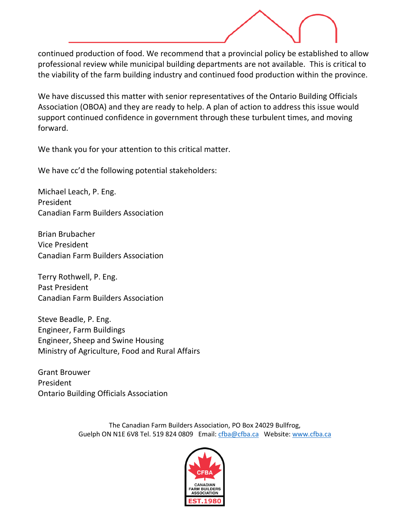continued production of food. We recommend that a provincial policy be established to allow professional review while municipal building departments are not available. This is critical to the viability of the farm building industry and continued food production within the province.

We have discussed this matter with senior representatives of the Ontario Building Officials Association (OBOA) and they are ready to help. A plan of action to address this issue would support continued confidence in government through these turbulent times, and moving forward.

We thank you for your attention to this critical matter.

We have cc'd the following potential stakeholders:

Michael Leach, P. Eng. President Canadian Farm Builders Association

Brian Brubacher Vice President Canadian Farm Builders Association

Terry Rothwell, P. Eng. Past President Canadian Farm Builders Association

Steve Beadle, P. Eng. Engineer, Farm Buildings Engineer, Sheep and Swine Housing Ministry of Agriculture, Food and Rural Affairs

Grant Brouwer President Ontario Building Officials Association

> The Canadian Farm Builders Association, PO Box 24029 Bullfrog, Guelph ON N1E 6V8 Tel. 519 824 0809 Email: [cfba@cfba.ca](mailto:cfba@cfba.ca) Website[: www.cfba.ca](http://www.cfba.ca/)